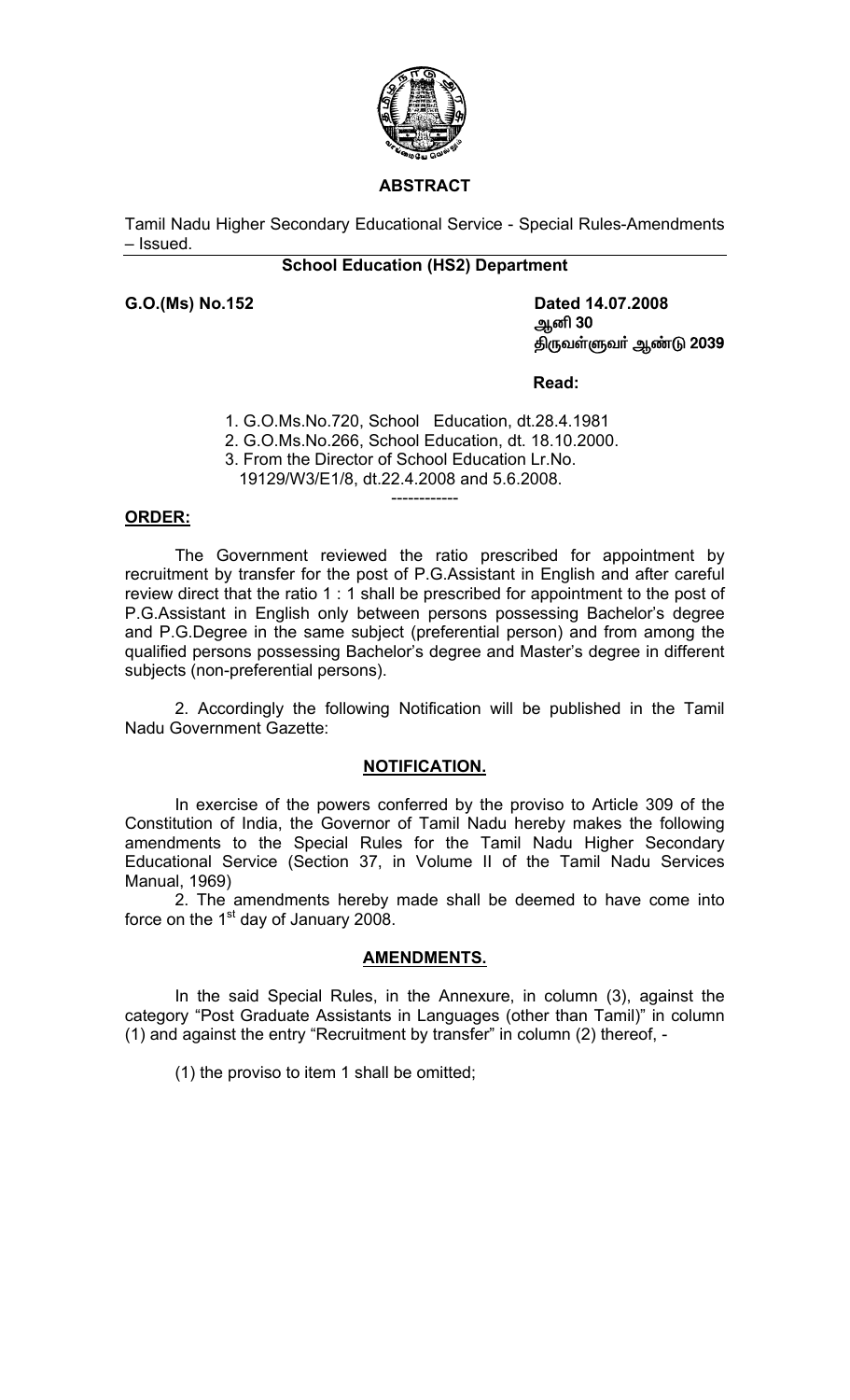

## **ABSTRACT**

Tamil Nadu Higher Secondary Educational Service - Special Rules-Amendments – Issued.

## **School Education (HS2) Department**

**G.O.(Ms) No.152 Dated 14.07.2008** Må 30 திருவள்ளுவா் ஆண்டு 2039

 **Read:**

1. G.O.Ms.No.720, School Education, dt.28.4.1981

2. G.O.Ms.No.266, School Education, dt. 18.10.2000.

------------

3. From the Director of School Education Lr.No.

19129/W3/E1/8, dt.22.4.2008 and 5.6.2008.

#### **ORDER:**

The Government reviewed the ratio prescribed for appointment by recruitment by transfer for the post of P.G.Assistant in English and after careful review direct that the ratio 1 : 1 shall be prescribed for appointment to the post of P.G.Assistant in English only between persons possessing Bachelor's degree and P.G.Degree in the same subject (preferential person) and from among the qualified persons possessing Bachelor's degree and Master's degree in different subjects (non-preferential persons).

 2. Accordingly the following Notification will be published in the Tamil Nadu Government Gazette:

#### **NOTIFICATION.**

 In exercise of the powers conferred by the proviso to Article 309 of the Constitution of India, the Governor of Tamil Nadu hereby makes the following amendments to the Special Rules for the Tamil Nadu Higher Secondary Educational Service (Section 37, in Volume II of the Tamil Nadu Services Manual, 1969)

 2. The amendments hereby made shall be deemed to have come into force on the  $1<sup>st</sup>$  day of January 2008.

#### **AMENDMENTS.**

 In the said Special Rules, in the Annexure, in column (3), against the category "Post Graduate Assistants in Languages (other than Tamil)" in column (1) and against the entry "Recruitment by transfer" in column (2) thereof, -

(1) the proviso to item 1 shall be omitted;